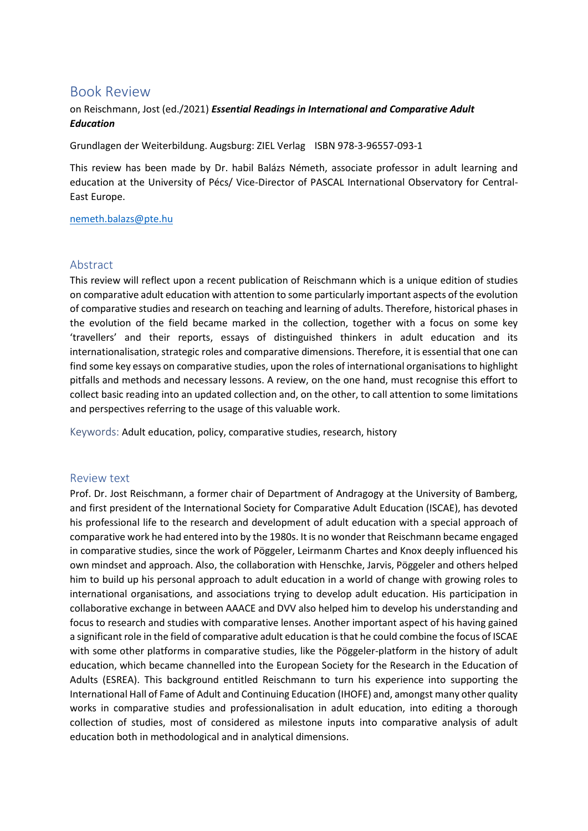## Book Review

## on Reischmann, Jost (ed./2021) *Essential Readings in International and Comparative Adult Education*

Grundlagen der Weiterbildung. Augsburg: ZIEL Verlag ISBN 978-3-96557-093-1

This review has been made by Dr. habil Balázs Németh, associate professor in adult learning and education at the University of Pécs/ Vice-Director of PASCAL International Observatory for Central-East Europe.

[nemeth.balazs@pte.hu](mailto:nemeth.balazs@pte.hu)

## Abstract

This review will reflect upon a recent publication of Reischmann which is a unique edition of studies on comparative adult education with attention to some particularly important aspects of the evolution of comparative studies and research on teaching and learning of adults. Therefore, historical phases in the evolution of the field became marked in the collection, together with a focus on some key 'travellers' and their reports, essays of distinguished thinkers in adult education and its internationalisation, strategic roles and comparative dimensions. Therefore, it is essential that one can find some key essays on comparative studies, upon the roles of international organisations to highlight pitfalls and methods and necessary lessons. A review, on the one hand, must recognise this effort to collect basic reading into an updated collection and, on the other, to call attention to some limitations and perspectives referring to the usage of this valuable work.

Keywords: Adult education, policy, comparative studies, research, history

## Review text

Prof. Dr. Jost Reischmann, a former chair of Department of Andragogy at the University of Bamberg, and first president of the International Society for Comparative Adult Education (ISCAE), has devoted his professional life to the research and development of adult education with a special approach of comparative work he had entered into by the 1980s. It is no wonder that Reischmann became engaged in comparative studies, since the work of Pöggeler, Leirmanm Chartes and Knox deeply influenced his own mindset and approach. Also, the collaboration with Henschke, Jarvis, Pöggeler and others helped him to build up his personal approach to adult education in a world of change with growing roles to international organisations, and associations trying to develop adult education. His participation in collaborative exchange in between AAACE and DVV also helped him to develop his understanding and focus to research and studies with comparative lenses. Another important aspect of his having gained a significant role in the field of comparative adult education is that he could combine the focus of ISCAE with some other platforms in comparative studies, like the Pöggeler-platform in the history of adult education, which became channelled into the European Society for the Research in the Education of Adults (ESREA). This background entitled Reischmann to turn his experience into supporting the International Hall of Fame of Adult and Continuing Education (IHOFE) and, amongst many other quality works in comparative studies and professionalisation in adult education, into editing a thorough collection of studies, most of considered as milestone inputs into comparative analysis of adult education both in methodological and in analytical dimensions.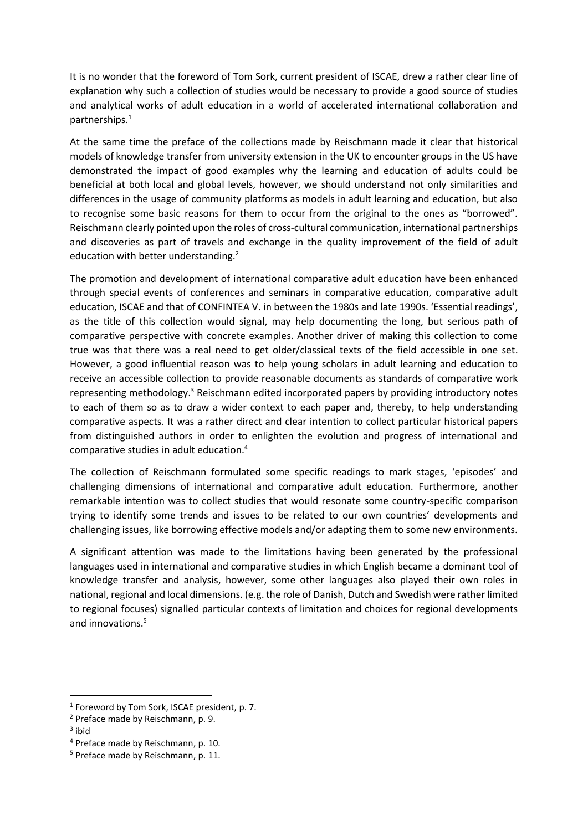It is no wonder that the foreword of Tom Sork, current president of ISCAE, drew a rather clear line of explanation why such a collection of studies would be necessary to provide a good source of studies and analytical works of adult education in a world of accelerated international collaboration and partnerships.<sup>1</sup>

At the same time the preface of the collections made by Reischmann made it clear that historical models of knowledge transfer from university extension in the UK to encounter groups in the US have demonstrated the impact of good examples why the learning and education of adults could be beneficial at both local and global levels, however, we should understand not only similarities and differences in the usage of community platforms as models in adult learning and education, but also to recognise some basic reasons for them to occur from the original to the ones as "borrowed". Reischmann clearly pointed upon the roles of cross-cultural communication, international partnerships and discoveries as part of travels and exchange in the quality improvement of the field of adult education with better understanding.<sup>2</sup>

The promotion and development of international comparative adult education have been enhanced through special events of conferences and seminars in comparative education, comparative adult education, ISCAE and that of CONFINTEA V. in between the 1980s and late 1990s. 'Essential readings', as the title of this collection would signal, may help documenting the long, but serious path of comparative perspective with concrete examples. Another driver of making this collection to come true was that there was a real need to get older/classical texts of the field accessible in one set. However, a good influential reason was to help young scholars in adult learning and education to receive an accessible collection to provide reasonable documents as standards of comparative work representing methodology.<sup>3</sup> Reischmann edited incorporated papers by providing introductory notes to each of them so as to draw a wider context to each paper and, thereby, to help understanding comparative aspects. It was a rather direct and clear intention to collect particular historical papers from distinguished authors in order to enlighten the evolution and progress of international and comparative studies in adult education.<sup>4</sup>

The collection of Reischmann formulated some specific readings to mark stages, 'episodes' and challenging dimensions of international and comparative adult education. Furthermore, another remarkable intention was to collect studies that would resonate some country-specific comparison trying to identify some trends and issues to be related to our own countries' developments and challenging issues, like borrowing effective models and/or adapting them to some new environments.

A significant attention was made to the limitations having been generated by the professional languages used in international and comparative studies in which English became a dominant tool of knowledge transfer and analysis, however, some other languages also played their own roles in national, regional and local dimensions. (e.g. the role of Danish, Dutch and Swedish were rather limited to regional focuses) signalled particular contexts of limitation and choices for regional developments and innovations.<sup>5</sup>

<sup>&</sup>lt;sup>1</sup> Foreword by Tom Sork, ISCAE president, p. 7.

<sup>2</sup> Preface made by Reischmann, p. 9.

<sup>&</sup>lt;sup>3</sup> ibid

<sup>4</sup> Preface made by Reischmann, p. 10.

<sup>5</sup> Preface made by Reischmann, p. 11.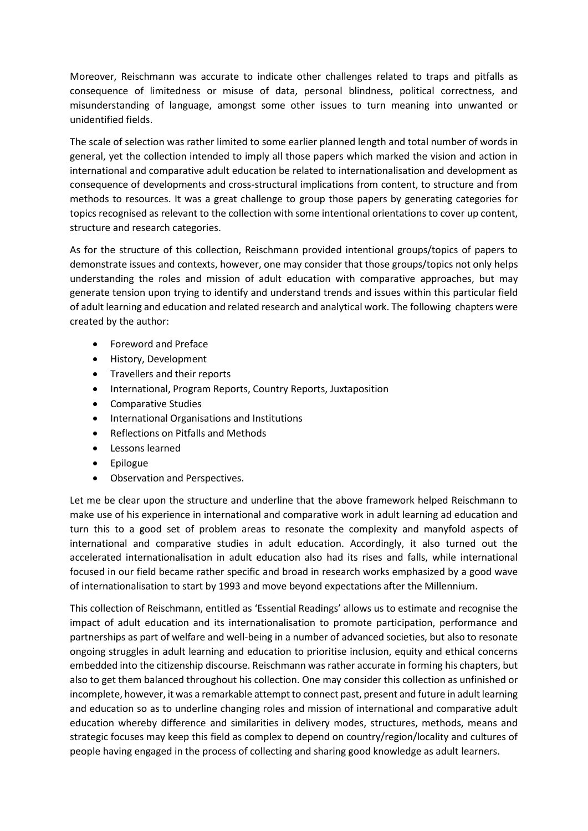Moreover, Reischmann was accurate to indicate other challenges related to traps and pitfalls as consequence of limitedness or misuse of data, personal blindness, political correctness, and misunderstanding of language, amongst some other issues to turn meaning into unwanted or unidentified fields.

The scale of selection was rather limited to some earlier planned length and total number of words in general, yet the collection intended to imply all those papers which marked the vision and action in international and comparative adult education be related to internationalisation and development as consequence of developments and cross-structural implications from content, to structure and from methods to resources. It was a great challenge to group those papers by generating categories for topics recognised as relevant to the collection with some intentional orientations to cover up content, structure and research categories.

As for the structure of this collection, Reischmann provided intentional groups/topics of papers to demonstrate issues and contexts, however, one may consider that those groups/topics not only helps understanding the roles and mission of adult education with comparative approaches, but may generate tension upon trying to identify and understand trends and issues within this particular field of adult learning and education and related research and analytical work. The following chapters were created by the author:

- Foreword and Preface
- History, Development
- Travellers and their reports
- International, Program Reports, Country Reports, Juxtaposition
- Comparative Studies
- International Organisations and Institutions
- Reflections on Pitfalls and Methods
- Lessons learned
- Epilogue
- Observation and Perspectives.

Let me be clear upon the structure and underline that the above framework helped Reischmann to make use of his experience in international and comparative work in adult learning ad education and turn this to a good set of problem areas to resonate the complexity and manyfold aspects of international and comparative studies in adult education. Accordingly, it also turned out the accelerated internationalisation in adult education also had its rises and falls, while international focused in our field became rather specific and broad in research works emphasized by a good wave of internationalisation to start by 1993 and move beyond expectations after the Millennium.

This collection of Reischmann, entitled as 'Essential Readings' allows us to estimate and recognise the impact of adult education and its internationalisation to promote participation, performance and partnerships as part of welfare and well-being in a number of advanced societies, but also to resonate ongoing struggles in adult learning and education to prioritise inclusion, equity and ethical concerns embedded into the citizenship discourse. Reischmann was rather accurate in forming his chapters, but also to get them balanced throughout his collection. One may consider this collection as unfinished or incomplete, however, it was a remarkable attempt to connect past, present and future in adult learning and education so as to underline changing roles and mission of international and comparative adult education whereby difference and similarities in delivery modes, structures, methods, means and strategic focuses may keep this field as complex to depend on country/region/locality and cultures of people having engaged in the process of collecting and sharing good knowledge as adult learners.